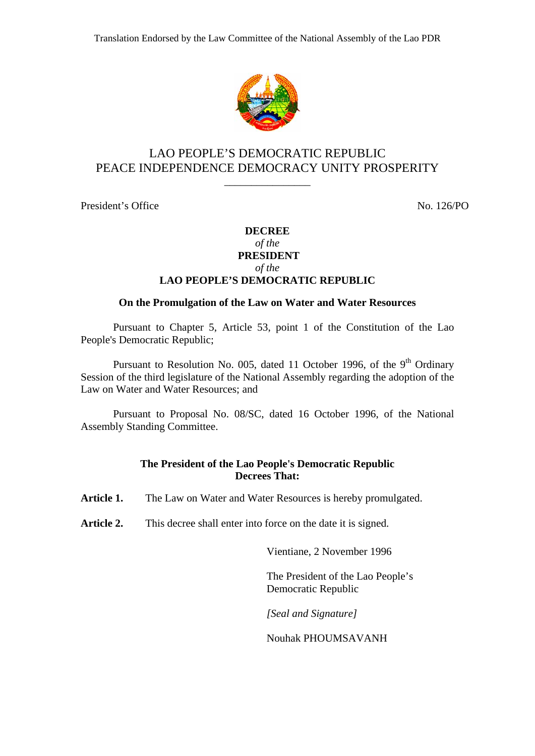

# LAO PEOPLE'S DEMOCRATIC REPUBLIC PEACE INDEPENDENCE DEMOCRACY UNITY PROSPERITY

\_\_\_\_\_\_\_\_\_\_\_\_\_\_\_\_

President's Office No. 126/PO

# **DECREE**

#### *of the*   **PRESIDENT**

*of the* 

### **LAO PEOPLE'S DEMOCRATIC REPUBLIC**

### **On the Promulgation of the Law on Water and Water Resources**

Pursuant to Chapter 5, Article 53, point 1 of the Constitution of the Lao People's Democratic Republic;

Pursuant to Resolution No. 005, dated 11 October 1996, of the 9<sup>th</sup> Ordinary Session of the third legislature of the National Assembly regarding the adoption of the Law on Water and Water Resources; and

Pursuant to Proposal No. 08/SC, dated 16 October 1996, of the National Assembly Standing Committee.

### **The President of the Lao People's Democratic Republic Decrees That:**

Article 1. The Law on Water and Water Resources is hereby promulgated.

Article 2. This decree shall enter into force on the date it is signed.

Vientiane, 2 November 1996

The President of the Lao People's Democratic Republic

*[Seal and Signature]* 

Nouhak PHOUMSAVANH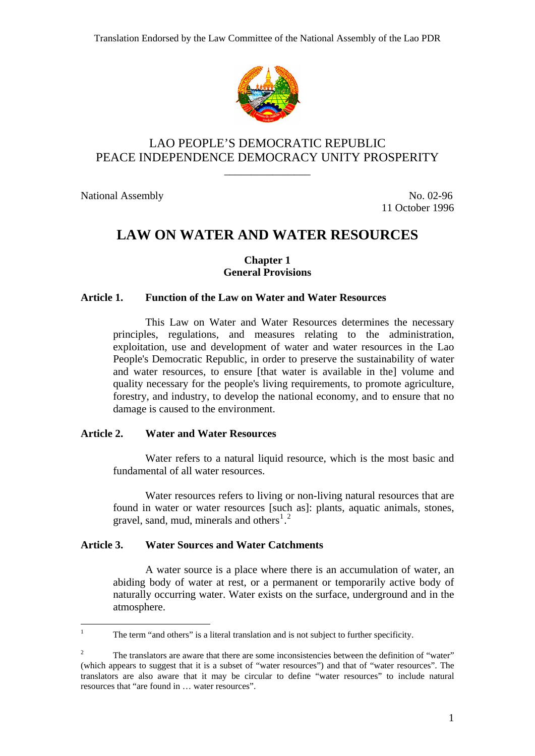

# LAO PEOPLE'S DEMOCRATIC REPUBLIC PEACE INDEPENDENCE DEMOCRACY UNITY PROSPERITY

\_\_\_\_\_\_\_\_\_\_\_\_\_\_\_\_

National Assembly No. 02-96

<span id="page-1-0"></span> $\frac{1}{1}$ 

11 October 1996

# **LAW ON WATER AND WATER RESOURCES**

### **Chapter 1 General Provisions**

### **Article 1. Function of the Law on Water and Water Resources**

This Law on Water and Water Resources determines the necessary principles, regulations, and measures relating to the administration, exploitation, use and development of water and water resources in the Lao People's Democratic Republic, in order to preserve the sustainability of water and water resources, to ensure [that water is available in the] volume and quality necessary for the people's living requirements, to promote agriculture, forestry, and industry, to develop the national economy, and to ensure that no damage is caused to the environment.

# **Article 2. Water and Water Resources**

Water refers to a natural liquid resource, which is the most basic and fundamental of all water resources.

Water resources refers to living or non-living natural resources that are found in water or water resources [such as]: plants, aquatic animals, stones, gravel, sand, mud, minerals and others $^{1,2}$  $^{1,2}$  $^{1,2}$  $^{1,2}$  $^{1,2}$ 

# **Article 3. Water Sources and Water Catchments**

A water source is a place where there is an accumulation of water, an abiding body of water at rest, or a permanent or temporarily active body of naturally occurring water. Water exists on the surface, underground and in the atmosphere.

The term "and others" is a literal translation and is not subject to further specificity.

<span id="page-1-1"></span><sup>2</sup> The translators are aware that there are some inconsistencies between the definition of "water" (which appears to suggest that it is a subset of "water resources") and that of "water resources". The translators are also aware that it may be circular to define "water resources" to include natural resources that "are found in … water resources".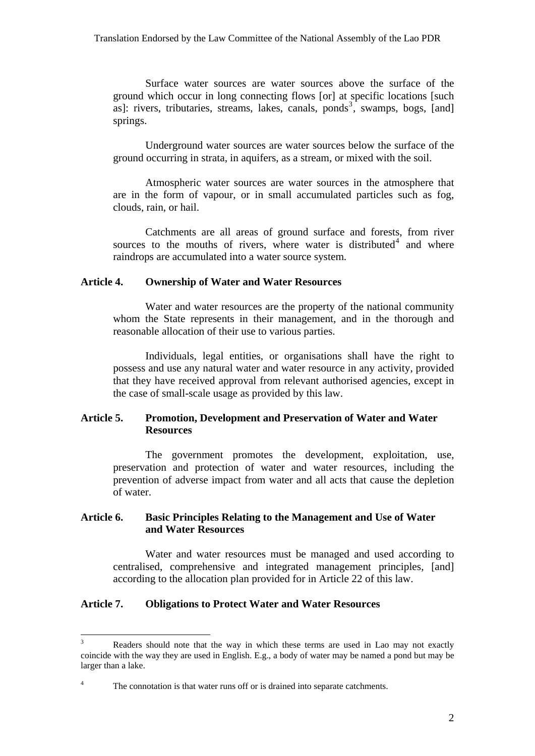Surface water sources are water sources above the surface of the ground which occur in long connecting flows [or] at specific locations [such as]: rivers, tributaries, streams, lakes, canals, ponds<sup>[3](#page-2-0)</sup>, swamps, bogs, [and] springs.

Underground water sources are water sources below the surface of the ground occurring in strata, in aquifers, as a stream, or mixed with the soil.

Atmospheric water sources are water sources in the atmosphere that are in the form of vapour, or in small accumulated particles such as fog, clouds, rain, or hail.

Catchments are all areas of ground surface and forests, from river sources to the mouths of rivers, where water is distributed $4$  and where raindrops are accumulated into a water source system.

### **Article 4. Ownership of Water and Water Resources**

Water and water resources are the property of the national community whom the State represents in their management, and in the thorough and reasonable allocation of their use to various parties.

Individuals, legal entities, or organisations shall have the right to possess and use any natural water and water resource in any activity, provided that they have received approval from relevant authorised agencies, except in the case of small-scale usage as provided by this law.

# **Article 5. Promotion, Development and Preservation of Water and Water Resources**

The government promotes the development, exploitation, use, preservation and protection of water and water resources, including the prevention of adverse impact from water and all acts that cause the depletion of water.

### **Article 6. Basic Principles Relating to the Management and Use of Water and Water Resources**

Water and water resources must be managed and used according to centralised, comprehensive and integrated management principles, [and] according to the allocation plan provided for in Article 22 of this law.

### **Article 7. Obligations to Protect Water and Water Resources**

<span id="page-2-0"></span><sup>3</sup> Readers should note that the way in which these terms are used in Lao may not exactly coincide with the way they are used in English. E.g., a body of water may be named a pond but may be larger than a lake.

<span id="page-2-1"></span><sup>4</sup> The connotation is that water runs off or is drained into separate catchments.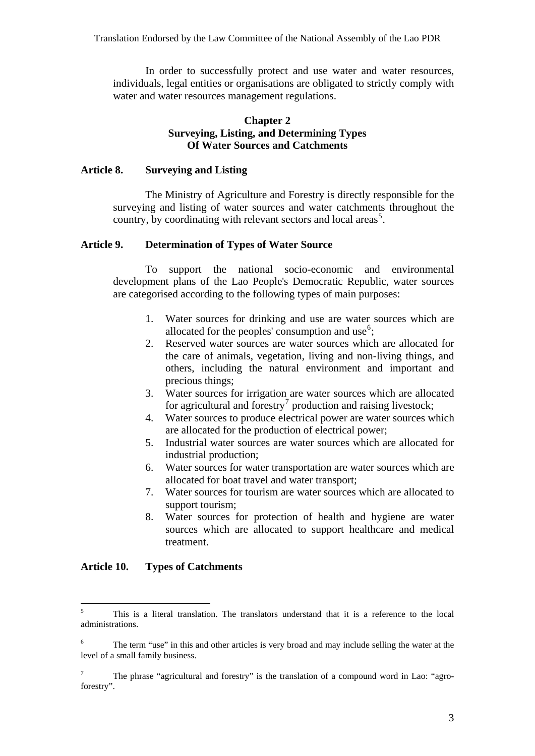In order to successfully protect and use water and water resources, individuals, legal entities or organisations are obligated to strictly comply with water and water resources management regulations.

### **Chapter 2 Surveying, Listing, and Determining Types Of Water Sources and Catchments**

### **Article 8. Surveying and Listing**

The Ministry of Agriculture and Forestry is directly responsible for the surveying and listing of water sources and water catchments throughout the country, by coordinating with relevant sectors and local areas<sup>[5](#page-3-0)</sup>.

### **Article 9. Determination of Types of Water Source**

To support the national socio-economic and environmental development plans of the Lao People's Democratic Republic, water sources are categorised according to the following types of main purposes:

- 1. Water sources for drinking and use are water sources which are allocated for the peoples' consumption and use<sup>[6](#page-3-1)</sup>;
- 2. Reserved water sources are water sources which are allocated for the care of animals, vegetation, living and non-living things, and others, including the natural environment and important and precious things;
- 3. Water sources for irrigation are water sources which are allocated for agricultural and forestry<sup>[7](#page-3-2)</sup> production and raising livestock;
- 4. Water sources to produce electrical power are water sources which are allocated for the production of electrical power;
- 5. Industrial water sources are water sources which are allocated for industrial production;
- 6. Water sources for water transportation are water sources which are allocated for boat travel and water transport;
- 7. Water sources for tourism are water sources which are allocated to support tourism;
- 8. Water sources for protection of health and hygiene are water sources which are allocated to support healthcare and medical treatment.

### **Article 10. Types of Catchments**

<span id="page-3-0"></span> $\frac{1}{5}$  This is a literal translation. The translators understand that it is a reference to the local administrations.

<span id="page-3-1"></span><sup>6</sup> The term "use" in this and other articles is very broad and may include selling the water at the level of a small family business.

<span id="page-3-2"></span><sup>7</sup> The phrase "agricultural and forestry" is the translation of a compound word in Lao: "agroforestry".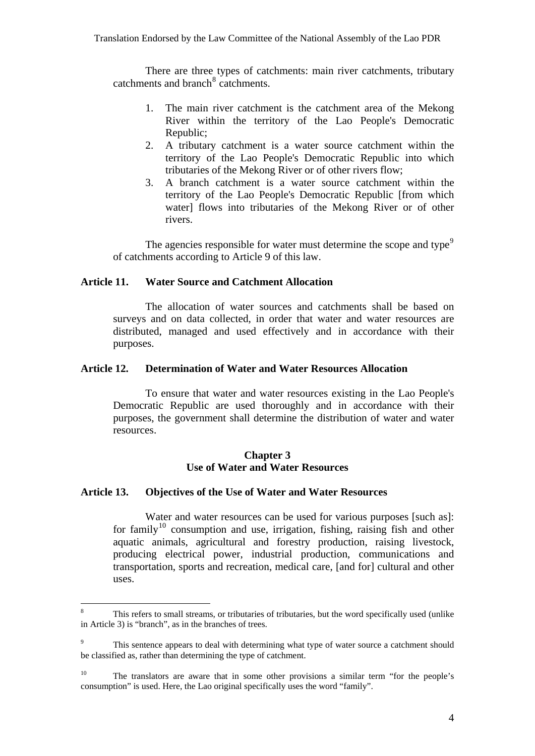There are three types of catchments: main river catchments, tributary catchments and branch<sup>[8](#page-4-0)</sup> catchments.

- 1. The main river catchment is the catchment area of the Mekong River within the territory of the Lao People's Democratic Republic;
- 2. A tributary catchment is a water source catchment within the territory of the Lao People's Democratic Republic into which tributaries of the Mekong River or of other rivers flow;
- 3. A branch catchment is a water source catchment within the territory of the Lao People's Democratic Republic [from which water] flows into tributaries of the Mekong River or of other rivers.

The agencies responsible for water must determine the scope and type<sup>[9](#page-4-1)</sup> of catchments according to Article 9 of this law.

# **Article 11. Water Source and Catchment Allocation**

The allocation of water sources and catchments shall be based on surveys and on data collected, in order that water and water resources are distributed, managed and used effectively and in accordance with their purposes.

### **Article 12. Determination of Water and Water Resources Allocation**

To ensure that water and water resources existing in the Lao People's Democratic Republic are used thoroughly and in accordance with their purposes, the government shall determine the distribution of water and water resources.

### **Chapter 3 Use of Water and Water Resources**

#### **Article 13. Objectives of the Use of Water and Water Resources**

 $\overline{a}$ 

Water and water resources can be used for various purposes [such as]: for family<sup>[10](#page-4-2)</sup> consumption and use, irrigation, fishing, raising fish and other aquatic animals, agricultural and forestry production, raising livestock, producing electrical power, industrial production, communications and transportation, sports and recreation, medical care, [and for] cultural and other uses.

<span id="page-4-0"></span><sup>8</sup> This refers to small streams, or tributaries of tributaries, but the word specifically used (unlike in Article 3) is "branch", as in the branches of trees.

<span id="page-4-1"></span><sup>9</sup> This sentence appears to deal with determining what type of water source a catchment should be classified as, rather than determining the type of catchment.

<span id="page-4-2"></span> $10\,$ 10 The translators are aware that in some other provisions a similar term "for the people's consumption" is used. Here, the Lao original specifically uses the word "family".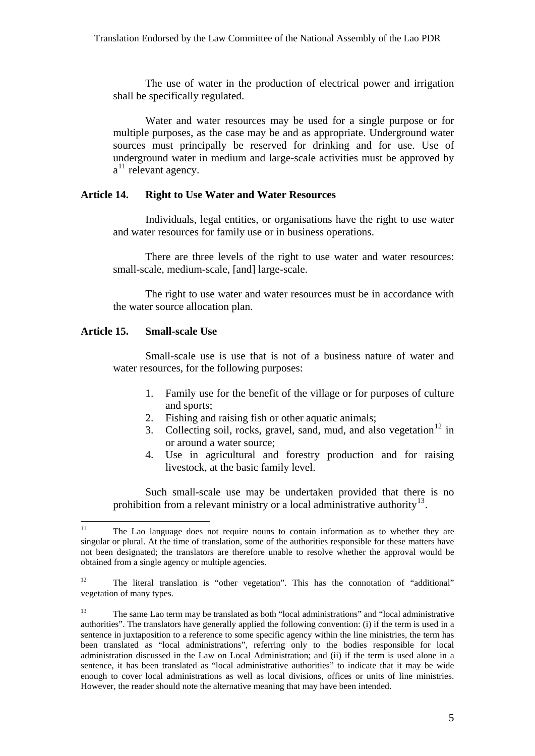The use of water in the production of electrical power and irrigation shall be specifically regulated.

Water and water resources may be used for a single purpose or for multiple purposes, as the case may be and as appropriate. Underground water sources must principally be reserved for drinking and for use. Use of underground water in medium and large-scale activities must be approved by a<sup>[11](#page-5-0)</sup> relevant agency.

### **Article 14. Right to Use Water and Water Resources**

Individuals, legal entities, or organisations have the right to use water and water resources for family use or in business operations.

There are three levels of the right to use water and water resources: small-scale, medium-scale, [and] large-scale.

The right to use water and water resources must be in accordance with the water source allocation plan.

### **Article 15. Small-scale Use**

Small-scale use is use that is not of a business nature of water and water resources, for the following purposes:

- 1. Family use for the benefit of the village or for purposes of culture and sports;
- 2. Fishing and raising fish or other aquatic animals;
- 3. Collecting soil, rocks, gravel, sand, mud, and also vegetation<sup>[12](#page-5-1)</sup> in or around a water source;
- 4. Use in agricultural and forestry production and for raising livestock, at the basic family level.

Such small-scale use may be undertaken provided that there is no prohibition from a relevant ministry or a local administrative authority<sup>[13](#page-5-2)</sup>.

<span id="page-5-0"></span> $11$ 11 The Lao language does not require nouns to contain information as to whether they are singular or plural. At the time of translation, some of the authorities responsible for these matters have not been designated; the translators are therefore unable to resolve whether the approval would be obtained from a single agency or multiple agencies.

<span id="page-5-1"></span><sup>&</sup>lt;sup>12</sup> The literal translation is "other vegetation". This has the connotation of "additional" vegetation of many types.

<span id="page-5-2"></span><sup>13</sup> The same Lao term may be translated as both "local administrations" and "local administrative authorities". The translators have generally applied the following convention: (i) if the term is used in a sentence in juxtaposition to a reference to some specific agency within the line ministries, the term has been translated as "local administrations", referring only to the bodies responsible for local administration discussed in the Law on Local Administration; and (ii) if the term is used alone in a sentence, it has been translated as "local administrative authorities" to indicate that it may be wide enough to cover local administrations as well as local divisions, offices or units of line ministries. However, the reader should note the alternative meaning that may have been intended.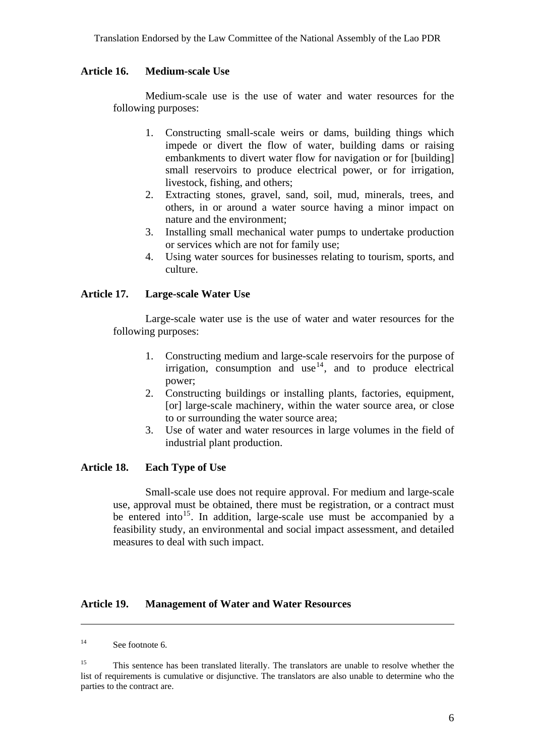### **Article 16. Medium-scale Use**

Medium-scale use is the use of water and water resources for the following purposes:

- 1. Constructing small-scale weirs or dams, building things which impede or divert the flow of water, building dams or raising embankments to divert water flow for navigation or for [building] small reservoirs to produce electrical power, or for irrigation, livestock, fishing, and others;
- 2. Extracting stones, gravel, sand, soil, mud, minerals, trees, and others, in or around a water source having a minor impact on nature and the environment;
- 3. Installing small mechanical water pumps to undertake production or services which are not for family use;
- 4. Using water sources for businesses relating to tourism, sports, and culture.

### **Article 17. Large-scale Water Use**

Large-scale water use is the use of water and water resources for the following purposes:

- 1. Constructing medium and large-scale reservoirs for the purpose of irrigation, consumption and use  $14$ , and to produce electrical power;
- 2. Constructing buildings or installing plants, factories, equipment, [or] large-scale machinery, within the water source area, or close to or surrounding the water source area;
- 3. Use of water and water resources in large volumes in the field of industrial plant production.

### **Article 18. Each Type of Use**

Small-scale use does not require approval. For medium and large-scale use, approval must be obtained, there must be registration, or a contract must be entered into<sup>[15](#page-6-1)</sup>. In addition, large-scale use must be accompanied by a feasibility study, an environmental and social impact assessment, and detailed measures to deal with such impact.

### **Article 19. Management of Water and Water Resources**

<span id="page-6-0"></span><sup>&</sup>lt;sup>14</sup> See footnote 6.

<span id="page-6-1"></span><sup>&</sup>lt;sup>15</sup> This sentence has been translated literally. The translators are unable to resolve whether the list of requirements is cumulative or disjunctive. The translators are also unable to determine who the parties to the contract are.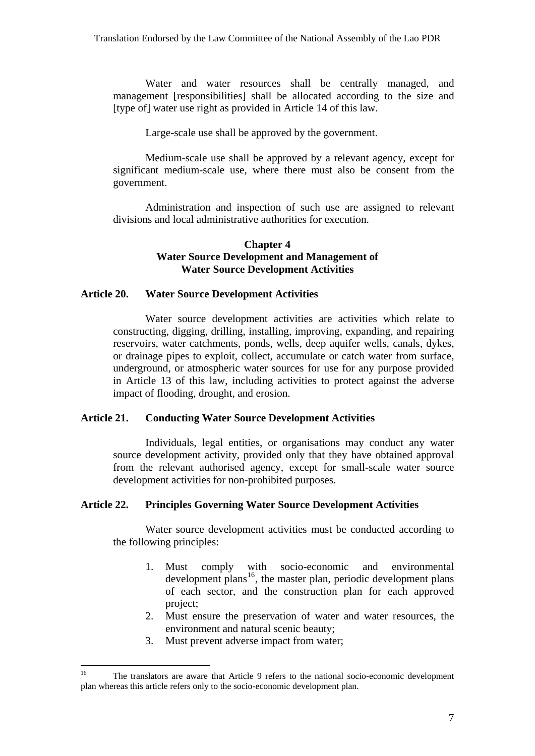Water and water resources shall be centrally managed, and management [responsibilities] shall be allocated according to the size and [type of] water use right as provided in Article 14 of this law.

Large-scale use shall be approved by the government.

Medium-scale use shall be approved by a relevant agency, except for significant medium-scale use, where there must also be consent from the government.

Administration and inspection of such use are assigned to relevant divisions and local administrative authorities for execution.

### **Chapter 4 Water Source Development and Management of Water Source Development Activities**

### **Article 20. Water Source Development Activities**

Water source development activities are activities which relate to constructing, digging, drilling, installing, improving, expanding, and repairing reservoirs, water catchments, ponds, wells, deep aquifer wells, canals, dykes, or drainage pipes to exploit, collect, accumulate or catch water from surface, underground, or atmospheric water sources for use for any purpose provided in Article 13 of this law, including activities to protect against the adverse impact of flooding, drought, and erosion.

### **Article 21. Conducting Water Source Development Activities**

Individuals, legal entities, or organisations may conduct any water source development activity, provided only that they have obtained approval from the relevant authorised agency, except for small-scale water source development activities for non-prohibited purposes.

#### **Article 22. Principles Governing Water Source Development Activities**

Water source development activities must be conducted according to the following principles:

- 1. Must comply with socio-economic and environmental  $development$  plans<sup>[16](#page-7-0)</sup>, the master plan, periodic development plans of each sector, and the construction plan for each approved project;
- 2. Must ensure the preservation of water and water resources, the environment and natural scenic beauty;
- 3. Must prevent adverse impact from water;

<span id="page-7-0"></span><sup>16</sup> The translators are aware that Article 9 refers to the national socio-economic development plan whereas this article refers only to the socio-economic development plan.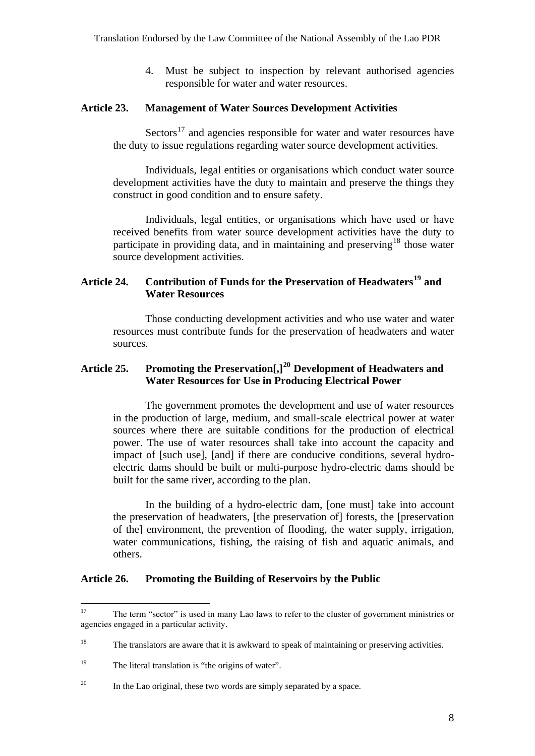4. Must be subject to inspection by relevant authorised agencies responsible for water and water resources.

### **Article 23. Management of Water Sources Development Activities**

 $Sectors<sup>17</sup>$  $Sectors<sup>17</sup>$  $Sectors<sup>17</sup>$  and agencies responsible for water and water resources have the duty to issue regulations regarding water source development activities.

Individuals, legal entities or organisations which conduct water source development activities have the duty to maintain and preserve the things they construct in good condition and to ensure safety.

Individuals, legal entities, or organisations which have used or have received benefits from water source development activities have the duty to participate in providing data, and in maintaining and preserving<sup>[18](#page-8-1)</sup> those water source development activities.

# **Article 24. Contribution of Funds for the Preservation of Headwaters[19](#page-8-2) and Water Resources**

Those conducting development activities and who use water and water resources must contribute funds for the preservation of headwaters and water sources.

# **Article 25. Promoting the Preservation[,][20](#page-8-3) Development of Headwaters and Water Resources for Use in Producing Electrical Power**

The government promotes the development and use of water resources in the production of large, medium, and small-scale electrical power at water sources where there are suitable conditions for the production of electrical power. The use of water resources shall take into account the capacity and impact of [such use], [and] if there are conducive conditions, several hydroelectric dams should be built or multi-purpose hydro-electric dams should be built for the same river, according to the plan.

In the building of a hydro-electric dam, [one must] take into account the preservation of headwaters, [the preservation of] forests, the [preservation of the] environment, the prevention of flooding, the water supply, irrigation, water communications, fishing, the raising of fish and aquatic animals, and others.

### **Article 26. Promoting the Building of Reservoirs by the Public**

<span id="page-8-0"></span><sup>17</sup> 17 The term "sector" is used in many Lao laws to refer to the cluster of government ministries or agencies engaged in a particular activity.

<span id="page-8-1"></span><sup>&</sup>lt;sup>18</sup> The translators are aware that it is awkward to speak of maintaining or preserving activities.

<span id="page-8-2"></span><sup>&</sup>lt;sup>19</sup> The literal translation is "the origins of water".

<span id="page-8-3"></span> $20\,$ In the Lao original, these two words are simply separated by a space.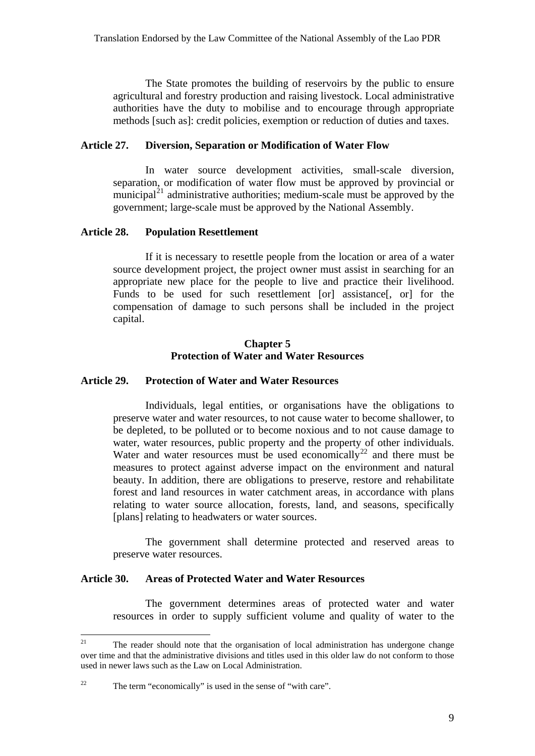The State promotes the building of reservoirs by the public to ensure agricultural and forestry production and raising livestock. Local administrative authorities have the duty to mobilise and to encourage through appropriate methods [such as]: credit policies, exemption or reduction of duties and taxes.

### **Article 27. Diversion, Separation or Modification of Water Flow**

In water source development activities, small-scale diversion, separation, or modification of water flow must be approved by provincial or municipal $^{21}$  $^{21}$  $^{21}$  administrative authorities; medium-scale must be approved by the government; large-scale must be approved by the National Assembly.

### **Article 28. Population Resettlement**

If it is necessary to resettle people from the location or area of a water source development project, the project owner must assist in searching for an appropriate new place for the people to live and practice their livelihood. Funds to be used for such resettlement [or] assistance[, or] for the compensation of damage to such persons shall be included in the project capital.

### **Chapter 5 Protection of Water and Water Resources**

### **Article 29. Protection of Water and Water Resources**

Individuals, legal entities, or organisations have the obligations to preserve water and water resources, to not cause water to become shallower, to be depleted, to be polluted or to become noxious and to not cause damage to water, water resources, public property and the property of other individuals. Water and water resources must be used economically<sup>[22](#page-9-1)</sup> and there must be measures to protect against adverse impact on the environment and natural beauty. In addition, there are obligations to preserve, restore and rehabilitate forest and land resources in water catchment areas, in accordance with plans relating to water source allocation, forests, land, and seasons, specifically [plans] relating to headwaters or water sources.

The government shall determine protected and reserved areas to preserve water resources.

### **Article 30. Areas of Protected Water and Water Resources**

The government determines areas of protected water and water resources in order to supply sufficient volume and quality of water to the

<span id="page-9-0"></span> $21$ The reader should note that the organisation of local administration has undergone change over time and that the administrative divisions and titles used in this older law do not conform to those used in newer laws such as the Law on Local Administration.

<span id="page-9-1"></span><sup>&</sup>lt;sup>22</sup> The term "economically" is used in the sense of "with care".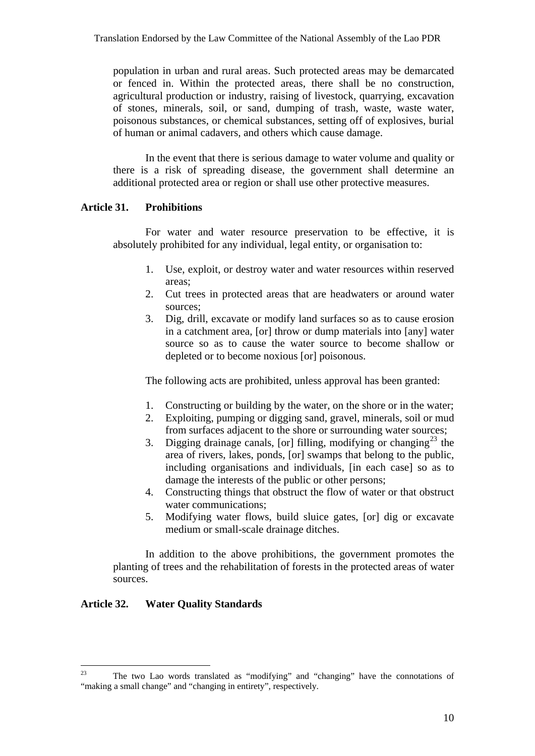population in urban and rural areas. Such protected areas may be demarcated or fenced in. Within the protected areas, there shall be no construction, agricultural production or industry, raising of livestock, quarrying, excavation of stones, minerals, soil, or sand, dumping of trash, waste, waste water, poisonous substances, or chemical substances, setting off of explosives, burial of human or animal cadavers, and others which cause damage.

In the event that there is serious damage to water volume and quality or there is a risk of spreading disease, the government shall determine an additional protected area or region or shall use other protective measures.

### **Article 31. Prohibitions**

For water and water resource preservation to be effective, it is absolutely prohibited for any individual, legal entity, or organisation to:

- 1. Use, exploit, or destroy water and water resources within reserved areas;
- 2. Cut trees in protected areas that are headwaters or around water sources;
- 3. Dig, drill, excavate or modify land surfaces so as to cause erosion in a catchment area, [or] throw or dump materials into [any] water source so as to cause the water source to become shallow or depleted or to become noxious [or] poisonous.

The following acts are prohibited, unless approval has been granted:

- 1. Constructing or building by the water, on the shore or in the water;
- 2. Exploiting, pumping or digging sand, gravel, minerals, soil or mud from surfaces adjacent to the shore or surrounding water sources;
- 3. Digging drainage canals, [or] filling, modifying or changing<sup>[23](#page-10-0)</sup> the area of rivers, lakes, ponds, [or] swamps that belong to the public, including organisations and individuals, [in each case] so as to damage the interests of the public or other persons;
- 4. Constructing things that obstruct the flow of water or that obstruct water communications;
- 5. Modifying water flows, build sluice gates, [or] dig or excavate medium or small-scale drainage ditches.

In addition to the above prohibitions, the government promotes the planting of trees and the rehabilitation of forests in the protected areas of water sources.

# **Article 32. Water Quality Standards**

<span id="page-10-0"></span><sup>23</sup> 23 The two Lao words translated as "modifying" and "changing" have the connotations of "making a small change" and "changing in entirety", respectively.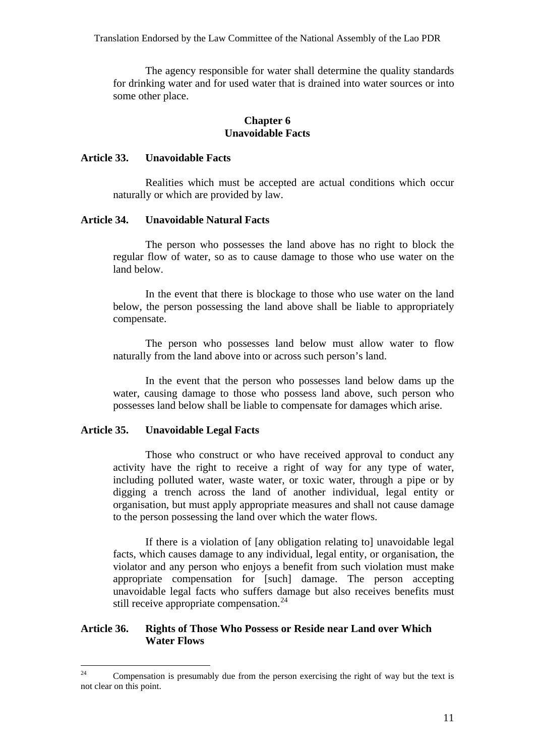Translation Endorsed by the Law Committee of the National Assembly of the Lao PDR

The agency responsible for water shall determine the quality standards for drinking water and for used water that is drained into water sources or into some other place.

### **Chapter 6 Unavoidable Facts**

### **Article 33. Unavoidable Facts**

Realities which must be accepted are actual conditions which occur naturally or which are provided by law.

### **Article 34. Unavoidable Natural Facts**

The person who possesses the land above has no right to block the regular flow of water, so as to cause damage to those who use water on the land below.

In the event that there is blockage to those who use water on the land below, the person possessing the land above shall be liable to appropriately compensate.

The person who possesses land below must allow water to flow naturally from the land above into or across such person's land.

In the event that the person who possesses land below dams up the water, causing damage to those who possess land above, such person who possesses land below shall be liable to compensate for damages which arise.

### **Article 35. Unavoidable Legal Facts**

Those who construct or who have received approval to conduct any activity have the right to receive a right of way for any type of water, including polluted water, waste water, or toxic water, through a pipe or by digging a trench across the land of another individual, legal entity or organisation, but must apply appropriate measures and shall not cause damage to the person possessing the land over which the water flows.

If there is a violation of [any obligation relating to] unavoidable legal facts, which causes damage to any individual, legal entity, or organisation, the violator and any person who enjoys a benefit from such violation must make appropriate compensation for [such] damage. The person accepting unavoidable legal facts who suffers damage but also receives benefits must still receive appropriate compensation.<sup>[24](#page-11-0)</sup>

### **Article 36. Rights of Those Who Possess or Reside near Land over Which Water Flows**

<span id="page-11-0"></span> $24$ Compensation is presumably due from the person exercising the right of way but the text is not clear on this point.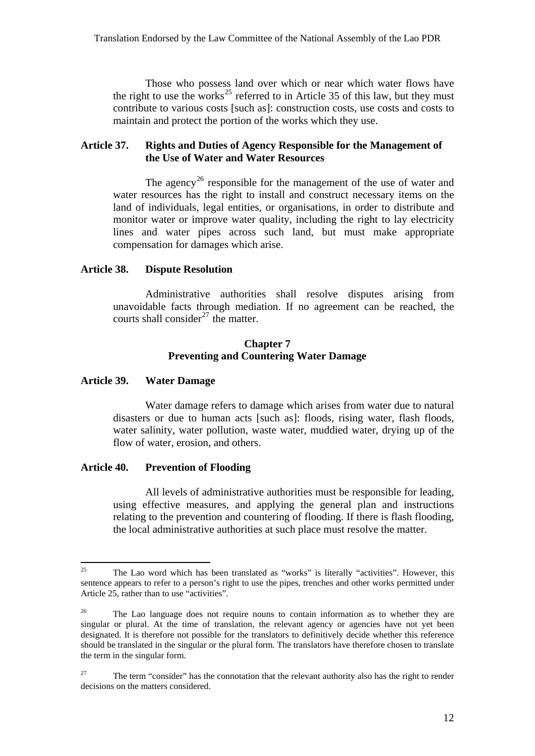Those who possess land over which or near which water flows have the right to use the works<sup>[25](#page-12-0)</sup> referred to in Article 35 of this law, but they must contribute to various costs [such as]: construction costs, use costs and costs to maintain and protect the portion of the works which they use.

## **Article 37. Rights and Duties of Agency Responsible for the Management of the Use of Water and Water Resources**

The agency<sup>[26](#page-12-1)</sup> responsible for the management of the use of water and water resources has the right to install and construct necessary items on the land of individuals, legal entities, or organisations, in order to distribute and monitor water or improve water quality, including the right to lay electricity lines and water pipes across such land, but must make appropriate compensation for damages which arise.

### **Article 38. Dispute Resolution**

Administrative authorities shall resolve disputes arising from unavoidable facts through mediation. If no agreement can be reached, the courts shall consider<sup>[27](#page-12-2)</sup> the matter.

### **Chapter 7 Preventing and Countering Water Damage**

### **Article 39. Water Damage**

Water damage refers to damage which arises from water due to natural disasters or due to human acts [such as]: floods, rising water, flash floods, water salinity, water pollution, waste water, muddied water, drying up of the flow of water, erosion, and others.

### **Article 40. Prevention of Flooding**

All levels of administrative authorities must be responsible for leading, using effective measures, and applying the general plan and instructions relating to the prevention and countering of flooding. If there is flash flooding, the local administrative authorities at such place must resolve the matter.

<span id="page-12-0"></span><sup>25</sup> 25 The Lao word which has been translated as "works" is literally "activities". However, this sentence appears to refer to a person's right to use the pipes, trenches and other works permitted under Article 25, rather than to use "activities".

<span id="page-12-1"></span><sup>&</sup>lt;sup>26</sup> The Lao language does not require nouns to contain information as to whether they are singular or plural. At the time of translation, the relevant agency or agencies have not yet been designated. It is therefore not possible for the translators to definitively decide whether this reference should be translated in the singular or the plural form. The translators have therefore chosen to translate the term in the singular form.

<span id="page-12-2"></span><sup>&</sup>lt;sup>27</sup> The term "consider" has the connotation that the relevant authority also has the right to render decisions on the matters considered.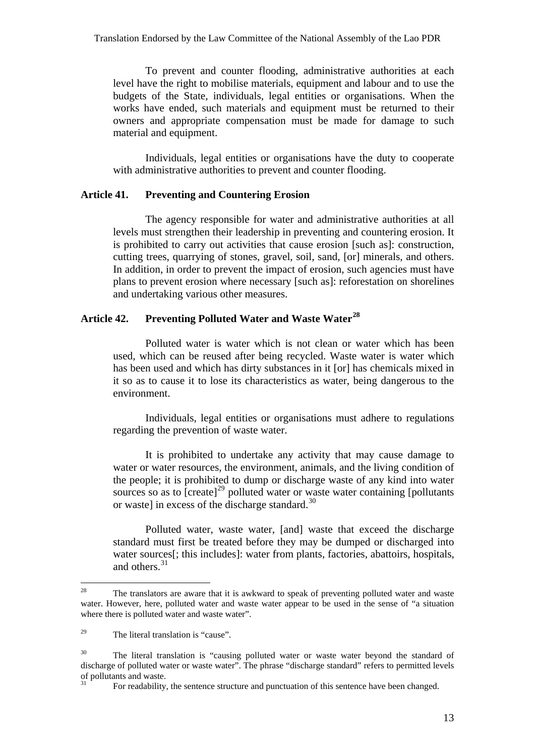Translation Endorsed by the Law Committee of the National Assembly of the Lao PDR

To prevent and counter flooding, administrative authorities at each level have the right to mobilise materials, equipment and labour and to use the budgets of the State, individuals, legal entities or organisations. When the works have ended, such materials and equipment must be returned to their owners and appropriate compensation must be made for damage to such material and equipment.

Individuals, legal entities or organisations have the duty to cooperate with administrative authorities to prevent and counter flooding.

### **Article 41. Preventing and Countering Erosion**

The agency responsible for water and administrative authorities at all levels must strengthen their leadership in preventing and countering erosion. It is prohibited to carry out activities that cause erosion [such as]: construction, cutting trees, quarrying of stones, gravel, soil, sand, [or] minerals, and others. In addition, in order to prevent the impact of erosion, such agencies must have plans to prevent erosion where necessary [such as]: reforestation on shorelines and undertaking various other measures.

# **Article 42. Preventing Polluted Water and Waste Water[28](#page-13-0)**

Polluted water is water which is not clean or water which has been used, which can be reused after being recycled. Waste water is water which has been used and which has dirty substances in it [or] has chemicals mixed in it so as to cause it to lose its characteristics as water, being dangerous to the environment.

Individuals, legal entities or organisations must adhere to regulations regarding the prevention of waste water.

It is prohibited to undertake any activity that may cause damage to water or water resources, the environment, animals, and the living condition of the people; it is prohibited to dump or discharge waste of any kind into water sources so as to  $[create]^2$ <sup>9</sup> polluted water or waste water containing [pollutants] or wastel in excess of the discharge standard.<sup>[30](#page-13-2)</sup>

Polluted water, waste water, [and] waste that exceed the discharge standard must first be treated before they may be dumped or discharged into water sources[; this includes]: water from plants, factories, abattoirs, hospitals, and others.<sup>[31](#page-13-3)</sup>

<span id="page-13-0"></span><sup>28</sup> The translators are aware that it is awkward to speak of preventing polluted water and waste water. However, here, polluted water and waste water appear to be used in the sense of "a situation where there is polluted water and waste water".

<span id="page-13-1"></span><sup>29</sup> The literal translation is "cause".

<span id="page-13-3"></span><span id="page-13-2"></span><sup>&</sup>lt;sup>30</sup> The literal translation is "causing polluted water or waste water beyond the standard of discharge of polluted water or waste water". The phrase "discharge standard" refers to permitted levels of pollutants and waste.

<sup>31</sup> For readability, the sentence structure and punctuation of this sentence have been changed.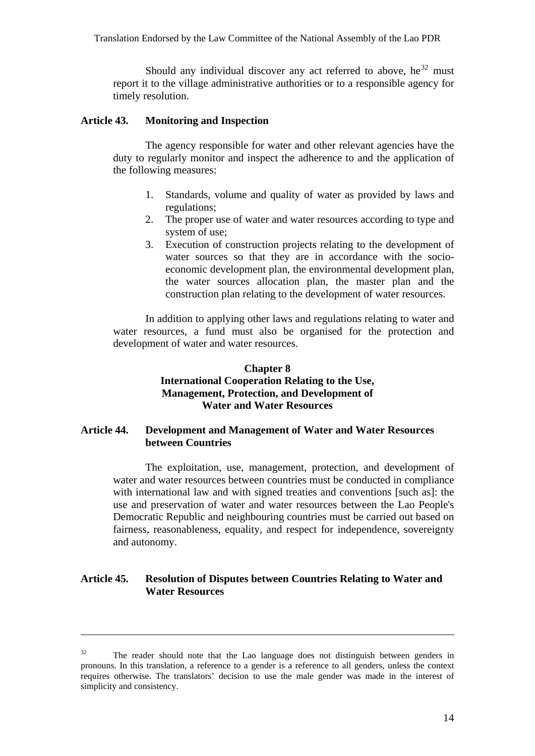Should any individual discover any act referred to above, he<sup>[32](#page-14-0)</sup> must report it to the village administrative authorities or to a responsible agency for timely resolution.

#### **Article 43. Monitoring and Inspection**

The agency responsible for water and other relevant agencies have the duty to regularly monitor and inspect the adherence to and the application of the following measures:

- 1. Standards, volume and quality of water as provided by laws and regulations;
- 2. The proper use of water and water resources according to type and system of use;
- 3. Execution of construction projects relating to the development of water sources so that they are in accordance with the socioeconomic development plan, the environmental development plan, the water sources allocation plan, the master plan and the construction plan relating to the development of water resources.

In addition to applying other laws and regulations relating to water and water resources, a fund must also be organised for the protection and development of water and water resources.

### **Chapter 8 International Cooperation Relating to the Use, Management, Protection, and Development of Water and Water Resources**

### **Article 44. Development and Management of Water and Water Resources between Countries**

The exploitation, use, management, protection, and development of water and water resources between countries must be conducted in compliance with international law and with signed treaties and conventions [such as]: the use and preservation of water and water resources between the Lao People's Democratic Republic and neighbouring countries must be carried out based on fairness, reasonableness, equality, and respect for independence, sovereignty and autonomy.

# **Article 45. Resolution of Disputes between Countries Relating to Water and Water Resources**

<span id="page-14-0"></span> $32$  The reader should note that the Lao language does not distinguish between genders in pronouns. In this translation, a reference to a gender is a reference to all genders, unless the context requires otherwise. The translators' decision to use the male gender was made in the interest of simplicity and consistency.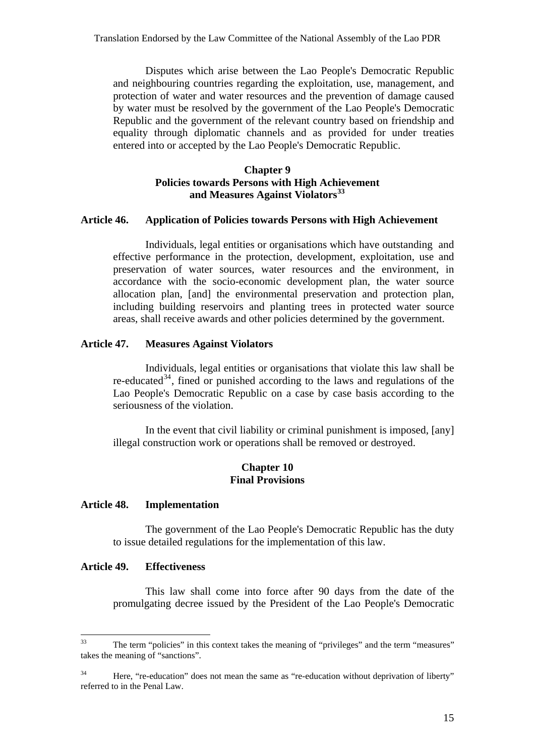Disputes which arise between the Lao People's Democratic Republic and neighbouring countries regarding the exploitation, use, management, and protection of water and water resources and the prevention of damage caused by water must be resolved by the government of the Lao People's Democratic Republic and the government of the relevant country based on friendship and equality through diplomatic channels and as provided for under treaties entered into or accepted by the Lao People's Democratic Republic.

### **Chapter 9 Policies towards Persons with High Achievement and Measures Against Violators[33](#page-15-0)**

#### **Article 46. Application of Policies towards Persons with High Achievement**

Individuals, legal entities or organisations which have outstanding and effective performance in the protection, development, exploitation, use and preservation of water sources, water resources and the environment, in accordance with the socio-economic development plan, the water source allocation plan, [and] the environmental preservation and protection plan, including building reservoirs and planting trees in protected water source areas, shall receive awards and other policies determined by the government.

### **Article 47. Measures Against Violators**

Individuals, legal entities or organisations that violate this law shall be re-educated<sup>[34](#page-15-1)</sup>, fined or punished according to the laws and regulations of the Lao People's Democratic Republic on a case by case basis according to the seriousness of the violation.

In the event that civil liability or criminal punishment is imposed, [any] illegal construction work or operations shall be removed or destroyed.

### **Chapter 10 Final Provisions**

#### **Article 48. Implementation**

The government of the Lao People's Democratic Republic has the duty to issue detailed regulations for the implementation of this law.

### **Article 49. Effectiveness**

This law shall come into force after 90 days from the date of the promulgating decree issued by the President of the Lao People's Democratic

<span id="page-15-0"></span><sup>33</sup> The term "policies" in this context takes the meaning of "privileges" and the term "measures" takes the meaning of "sanctions".

<span id="page-15-1"></span><sup>&</sup>lt;sup>34</sup> Here, "re-education" does not mean the same as "re-education without deprivation of liberty" referred to in the Penal Law.